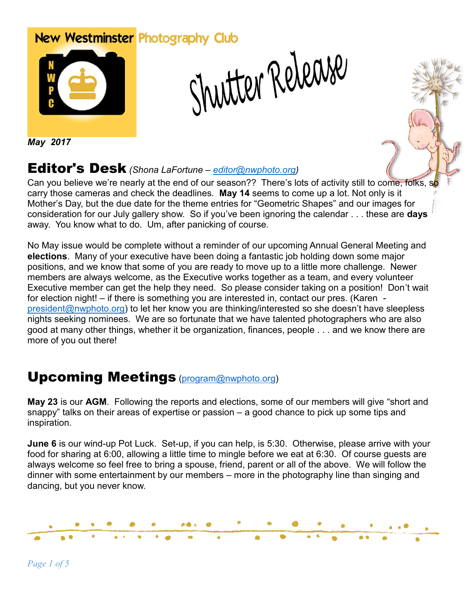# New Westminster Photography Club Shutter Release



*May 2017*

#### Editor's Desk *(Shona LaFortune – [editor@nwphoto.org\)](mailto:editor@nwphoto.org)*

Can you believe we're nearly at the end of our season?? There's lots of activity still to come, folks, so carry those cameras and check the deadlines. **May 14** seems to come up a lot. Not only is it Mother's Day, but the due date for the theme entries for "Geometric Shapes" and our images for consideration for our July gallery show. So if you've been ignoring the calendar . . . these are **days** away. You know what to do. Um, after panicking of course.

No May issue would be complete without a reminder of our upcoming Annual General Meeting and **elections**. Many of your executive have been doing a fantastic job holding down some major positions, and we know that some of you are ready to move up to a little more challenge. Newer members are always welcome, as the Executive works together as a team, and every volunteer Executive member can get the help they need. So please consider taking on a position! Don't wait for election night! – if there is something you are interested in, contact our pres. (Karen [president@nwphoto.org\)](mailto:president@nwphoto.org) to let her know you are thinking/interested so she doesn't have sleepless nights seeking nominees. We are so fortunate that we have talented photographers who are also good at many other things, whether it be organization, finances, people . . . and we know there are more of you out there!

## Upcoming Meetings [\(program@nwphoto.org\)](mailto:program@nwphoto.org)

**May 23** is our **AGM**. Following the reports and elections, some of our members will give "short and snappy" talks on their areas of expertise or passion – a good chance to pick up some tips and inspiration.

**June 6** is our wind-up Pot Luck. Set-up, if you can help, is 5:30. Otherwise, please arrive with your food for sharing at 6:00, allowing a little time to mingle before we eat at 6:30. Of course guests are always welcome so feel free to bring a spouse, friend, parent or all of the above. We will follow the dinner with some entertainment by our members – more in the photography line than singing and dancing, but you never know.

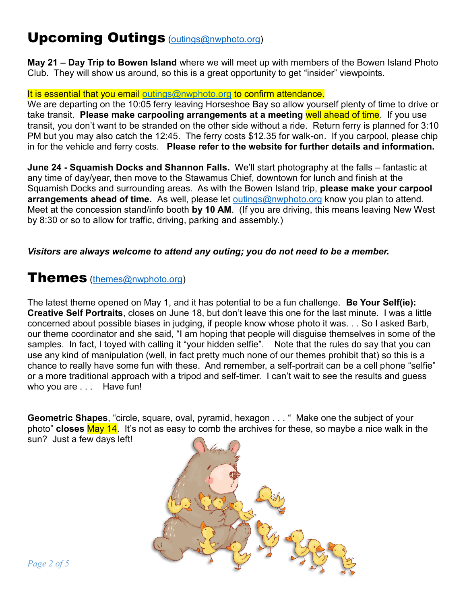## Upcoming Outings [\(outings@nwphoto.org\)](mailto:outings@nwphoto.org)

**May 21 – Day Trip to Bowen Island** where we will meet up with members of the Bowen Island Photo Club. They will show us around, so this is a great opportunity to get "insider" viewpoints.

#### It is essential that you email [outings@nwphoto.org](mailto:outings@nwphoto.org) to confirm attendance.

We are departing on the 10:05 ferry leaving Horseshoe Bay so allow yourself plenty of time to drive or take transit. **Please make carpooling arrangements at a meeting** well ahead of time. If you use transit, you don't want to be stranded on the other side without a ride. Return ferry is planned for 3:10 PM but you may also catch the 12:45. The ferry costs \$12.35 for walk-on. If you carpool, please chip in for the vehicle and ferry costs. **Please refer to the website for further details and information.**

**June 24 - Squamish Docks and Shannon Falls.** We'll start photography at the falls – fantastic at any time of day/year, then move to the Stawamus Chief, downtown for lunch and finish at the Squamish Docks and surrounding areas. As with the Bowen Island trip, **please make your carpool arrangements ahead of time.** As well, please let [outings@nwphoto.org](mailto:outings@nwphoto.org) know you plan to attend. Meet at the concession stand/info booth **by 10 AM**. (If you are driving, this means leaving New West by 8:30 or so to allow for traffic, driving, parking and assembly.)

#### *Visitors are always welcome to attend any outing; you do not need to be a member.*

#### **Themes** [\(themes@nwphoto.org\)](mailto:themes@nwphoto.org)

The latest theme opened on May 1, and it has potential to be a fun challenge. **Be Your Self(ie): Creative Self Portraits**, closes on June 18, but don't leave this one for the last minute. I was a little concerned about possible biases in judging, if people know whose photo it was. . . So I asked Barb, our theme coordinator and she said, "I am hoping that people will disguise themselves in some of the samples. In fact, I toyed with calling it "your hidden selfie". Note that the rules do say that you can use any kind of manipulation (well, in fact pretty much none of our themes prohibit that) so this is a chance to really have some fun with these. And remember, a self-portrait can be a cell phone "selfie" or a more traditional approach with a tripod and self-timer. I can't wait to see the results and guess who you are ... Have fun!

**Geometric Shapes**, "circle, square, oval, pyramid, hexagon . . . " Make one the subject of your photo" **closes** May 14. It's not as easy to comb the archives for these, so maybe a nice walk in the sun? Just a few days left!

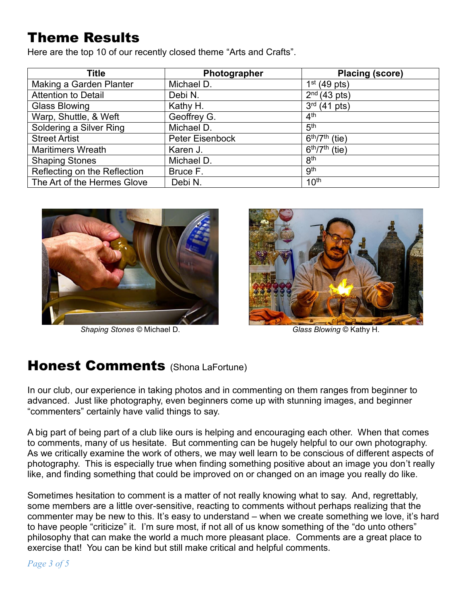# Theme Results

Here are the top 10 of our recently closed theme "Arts and Crafts".

| <b>Title</b>                 | Photographer    | <b>Placing (score)</b>                     |
|------------------------------|-----------------|--------------------------------------------|
| Making a Garden Planter      | Michael D.      | $1st$ (49 pts)                             |
| <b>Attention to Detail</b>   | Debi N.         | $2nd$ (43 pts)                             |
| <b>Glass Blowing</b>         | Kathy H.        | $3^{rd}$ (41 pts)                          |
| Warp, Shuttle, & Weft        | Geoffrey G.     | 4 <sup>th</sup>                            |
| Soldering a Silver Ring      | Michael D.      | 5 <sup>th</sup>                            |
| <b>Street Artist</b>         | Peter Eisenbock | $6th/7th$ (tie)                            |
| <b>Maritimers Wreath</b>     | Karen J.        | $\overline{6^{th}}$ /7 <sup>th</sup> (tie) |
| <b>Shaping Stones</b>        | Michael D.      | 8 <sup>th</sup>                            |
| Reflecting on the Reflection | Bruce F.        | <b>gth</b>                                 |
| The Art of the Hermes Glove  | Debi N.         | 10 <sup>th</sup>                           |



*Shaping Stones ©* Michael D. *Glass Blowing* © Kathy H.



### **Honest Comments** (Shona LaFortune)

In our club, our experience in taking photos and in commenting on them ranges from beginner to advanced. Just like photography, even beginners come up with stunning images, and beginner "commenters" certainly have valid things to say.

A big part of being part of a club like ours is helping and encouraging each other. When that comes to comments, many of us hesitate. But commenting can be hugely helpful to our own photography. As we critically examine the work of others, we may well learn to be conscious of different aspects of photography. This is especially true when finding something positive about an image you don't really like, and finding something that could be improved on or changed on an image you really do like.

Sometimes hesitation to comment is a matter of not really knowing what to say. And, regrettably, some members are a little over-sensitive, reacting to comments without perhaps realizing that the commenter may be new to this. It's easy to understand – when we create something we love, it's hard to have people "criticize" it. I'm sure most, if not all of us know something of the "do unto others" philosophy that can make the world a much more pleasant place. Comments are a great place to exercise that! You can be kind but still make critical and helpful comments.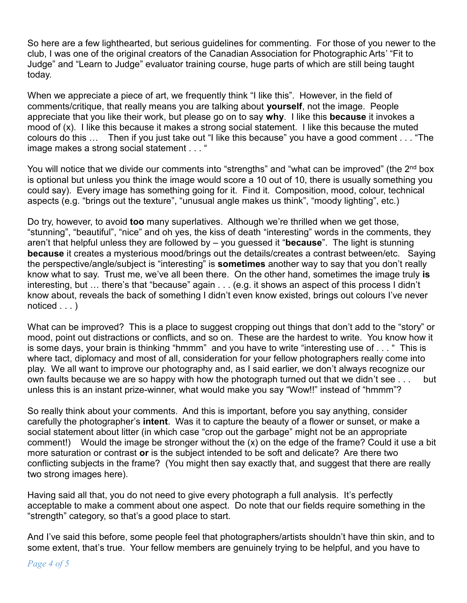So here are a few lighthearted, but serious guidelines for commenting. For those of you newer to the club, I was one of the original creators of the Canadian Association for Photographic Arts' "Fit to Judge" and "Learn to Judge" evaluator training course, huge parts of which are still being taught today.

When we appreciate a piece of art, we frequently think "I like this". However, in the field of comments/critique, that really means you are talking about **yourself**, not the image. People appreciate that you like their work, but please go on to say **why**. I like this **because** it invokes a mood of (x). I like this because it makes a strong social statement. I like this because the muted colours do this … Then if you just take out "I like this because" you have a good comment . . . "The image makes a strong social statement . . . "

You will notice that we divide our comments into "strengths" and "what can be improved" (the 2<sup>nd</sup> box is optional but unless you think the image would score a 10 out of 10, there is usually something you could say). Every image has something going for it. Find it. Composition, mood, colour, technical aspects (e.g. "brings out the texture", "unusual angle makes us think", "moody lighting", etc.)

Do try, however, to avoid **too** many superlatives. Although we're thrilled when we get those, "stunning", "beautiful", "nice" and oh yes, the kiss of death "interesting" words in the comments, they aren't that helpful unless they are followed by – you guessed it "**because**". The light is stunning **because** it creates a mysterious mood/brings out the details/creates a contrast between/etc. Saying the perspective/angle/subject is "interesting" is **sometimes** another way to say that you don't really know what to say. Trust me, we've all been there. On the other hand, sometimes the image truly **is** interesting, but … there's that "because" again . . . (e.g. it shows an aspect of this process I didn't know about, reveals the back of something I didn't even know existed, brings out colours I've never noticed . . . )

What can be improved? This is a place to suggest cropping out things that don't add to the "story" or mood, point out distractions or conflicts, and so on. These are the hardest to write. You know how it is some days, your brain is thinking "hmmm" and you have to write "interesting use of . . . " This is where tact, diplomacy and most of all, consideration for your fellow photographers really come into play. We all want to improve our photography and, as I said earlier, we don't always recognize our own faults because we are so happy with how the photograph turned out that we didn't see . . . but unless this is an instant prize-winner, what would make you say "Wow!!" instead of "hmmm"?

So really think about your comments. And this is important, before you say anything, consider carefully the photographer's **intent**. Was it to capture the beauty of a flower or sunset, or make a social statement about litter (in which case "crop out the garbage" might not be an appropriate comment!) Would the image be stronger without the (x) on the edge of the frame? Could it use a bit more saturation or contrast **or** is the subject intended to be soft and delicate? Are there two conflicting subjects in the frame? (You might then say exactly that, and suggest that there are really two strong images here).

Having said all that, you do not need to give every photograph a full analysis. It's perfectly acceptable to make a comment about one aspect. Do note that our fields require something in the "strength" category, so that's a good place to start.

And I've said this before, some people feel that photographers/artists shouldn't have thin skin, and to some extent, that's true. Your fellow members are genuinely trying to be helpful, and you have to